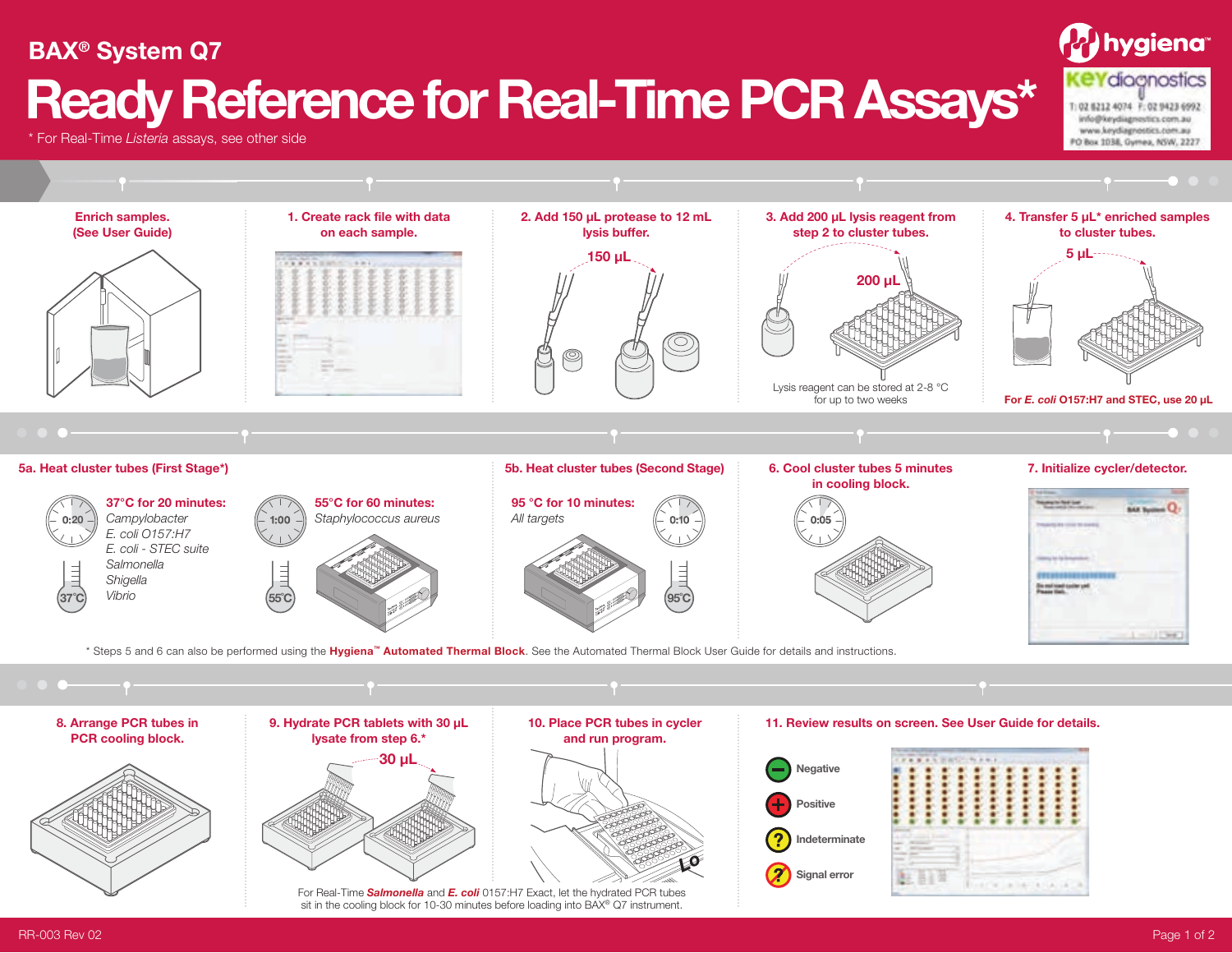## hygiena<sup>.</sup> **BAX® System Q7 KeYdiocnostics Ready Reference for Real-Time PCR Assays\*** T: 02 6212 4074 F: 02 9423 6992 info@keydiagnestics.com.au www.keydiagnostics.com.au PO Box 1038, Gymex, NSW, 2227

\* For Real-Time *Listeria* assays, see other side



For Real-Time *Salmonella* and *E. coli* 0157:H7 Exact, let the hydrated PCR tubes sit in the cooling block for 10-30 minutes before loading into BAX® Q7 instrument.

RR-003 Rev 02 Page 1 of 2